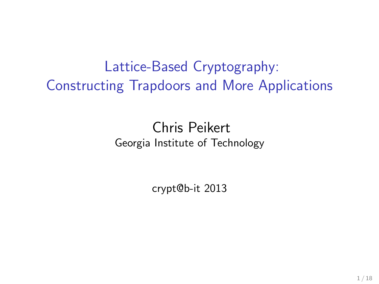Lattice-Based Cryptography: Constructing Trapdoors and More Applications

> Chris Peikert Georgia Institute of Technology

> > crypt@b-it 2013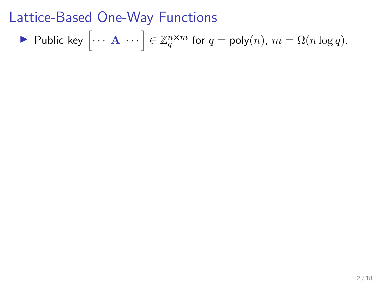$$
\blacktriangleright \text{ Public key } \left[ \cdots \mathbf{A} \cdots \right] \in \mathbb{Z}_q^{n \times m} \text{ for } q = \text{poly}(n), m = \Omega(n \log q).
$$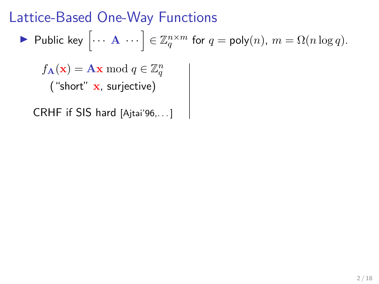$$
\blacktriangleright \text{ Public key } \left[ \cdots \mathbf{A} \cdots \right] \in \mathbb{Z}_q^{n \times m} \text{ for } q = \text{poly}(n), m = \Omega(n \log q).
$$

 $f_{\mathbf{A}}(\mathbf{x}) = \mathbf{A}\mathbf{x} \bmod q \in \mathbb{Z}_q^n$  $A(x)$  -<br>("short" x, surjective)

CRHF if SIS hard [Ajtai'96,. . . ]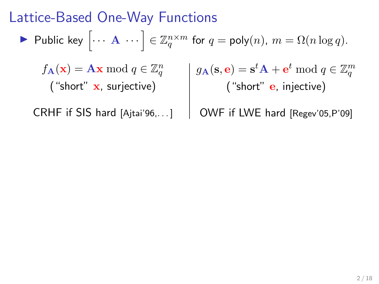$$
\blacktriangleright \text{ Public key } \left[ \cdots \mathbf{A} \cdots \right] \in \mathbb{Z}_q^{n \times m} \text{ for } q = \text{poly}(n), m = \Omega(n \log q).
$$

 $f_{\mathbf{A}}(\mathbf{x}) = \mathbf{A}\mathbf{x} \bmod q \in \mathbb{Z}_q^n$ ("short" x, surjective)  $g_{\mathbf{A}}(\mathbf{s}, \mathbf{e}) = \mathbf{s}^t \mathbf{A} + \mathbf{e}^t \bmod q \in \mathbb{Z}_q^m$ ("short" **e**, injective)

CRHF if SIS hard [Ajtai'96,. . . ]

OWF if LWE hard [Regev'05,P'09]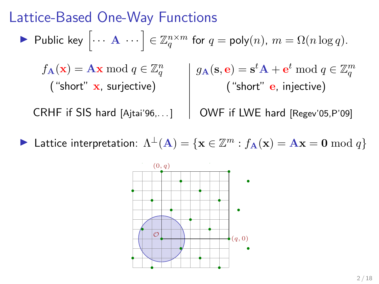$$
\blacktriangleright \text{ Public key } \left[ \cdots \mathbf{A} \cdots \right] \in \mathbb{Z}_q^{n \times m} \text{ for } q = \text{poly}(n), m = \Omega(n \log q).
$$

 $f_{\mathbf{A}}(\mathbf{x}) = \mathbf{A}\mathbf{x} \bmod q \in \mathbb{Z}_q^n$ ("short"  $x$ , surjective)  $g_{\mathbf{A}}(\mathbf{s}, \mathbf{e}) = \mathbf{s}^t \mathbf{A} + \mathbf{e}^t \bmod q \in \mathbb{Z}_q^m$ ("short" **e**, injective)

CRHF if SIS hard [Ajtai'96,. . . ]

OWF if LWE hard [Regev'05,P'09]

► Lattice interpretation:  $\Lambda^{\perp}(A) = \{x \in \mathbb{Z}^m : f_A(x) = Ax = 0 \bmod{q}\}\$ 

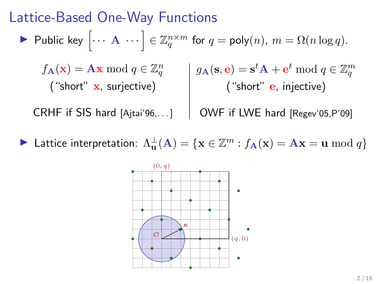$$
\blacktriangleright \text{ Public key } \left[ \cdots \mathbf{A} \cdots \right] \in \mathbb{Z}_q^{n \times m} \text{ for } q = \text{poly}(n), m = \Omega(n \log q).
$$

 $f_{\mathbf{A}}(\mathbf{x}) = \mathbf{A}\mathbf{x} \bmod q \in \mathbb{Z}_q^n$ ("short"  $x$ , surjective)  $g_{\mathbf{A}}(\mathbf{s}, \mathbf{e}) = \mathbf{s}$  ${}^t\mathbf{A}+\mathbf{e}$ t mod  $q \in \mathbb{Z}$ m q ("short" **e**, injective)

CRHF if SIS hard [Ajtai'96,. . . ]

$$
g_{\mathbf{A}}(\mathbf{s}, \mathbf{e}) = \mathbf{s}^{\iota} \mathbf{A} + \mathbf{e}^{\iota} \mod q \in \mathbb{Z}_q^m
$$
  
( "short" **e**, injective)

OWF if LWE hard [Regev'05,P'09]

► Lattice interpretation:  $\Lambda_{\mathbf{u}}^{\perp}(\mathbf{A}) = \{ \mathbf{x} \in \mathbb{Z}^m : f_{\mathbf{A}}(\mathbf{x}) = \mathbf{A}\mathbf{x} = \mathbf{u} \bmod q \}$ 

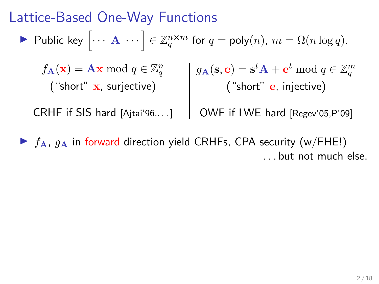$$
\blacktriangleright \text{ Public key } \left[ \cdots \mathbf{A} \cdots \right] \in \mathbb{Z}_q^{n \times m} \text{ for } q = \text{poly}(n), m = \Omega(n \log q).
$$

 $f_{\mathbf{A}}(\mathbf{x}) = \mathbf{A}\mathbf{x} \bmod q \in \mathbb{Z}_q^n$ ("short" x, surjective)  $g_{\mathbf{A}}(\mathbf{s}, \mathbf{e}) = \mathbf{s}^t \mathbf{A} + \mathbf{e}^t \bmod q \in \mathbb{Z}_q^m$ ("short" **e**, injective)

CRHF if SIS hard [Ajtai'96,. . . ] OWF if LWE hard [Regev'05,P'09]

 $\blacktriangleright$   $f_A$ ,  $g_A$  in forward direction yield CRHFs, CPA security (w/FHE!) . . . but not much else.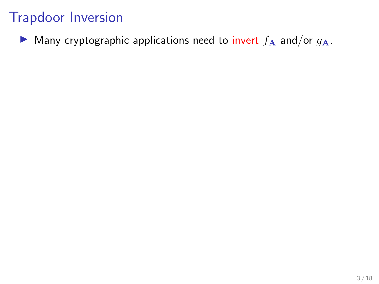$\triangleright$  Many cryptographic applications need to invert  $f_A$  and/or  $g_A$ .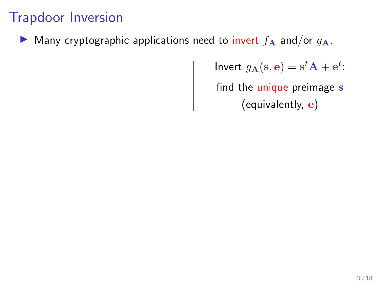Many cryptographic applications need to invert  $f_A$  and/or  $g_A$ .

Invert  $g_{\mathbf{A}}(\mathbf{s}, \mathbf{e}) = \mathbf{s}^t \mathbf{A} + \mathbf{e}^t$ : find the unique preimage s (equivalently,  ${\bf e})$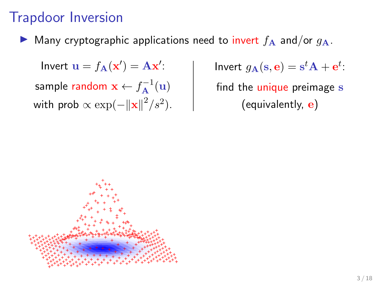Many cryptographic applications need to invert  $f_A$  and/or  $g_A$ .

Invert  $\mathbf{u} = f_{\mathbf{A}}(\mathbf{x}') = \mathbf{A}\mathbf{x}'$ : sample random  $\mathbf{x} \leftarrow f_{\mathbf{A}}^{-1}(\mathbf{u})$ with prob  $\propto \exp(-\|\mathbf{x}\|^2/s^2)$ . Invert  $g_{\mathbf{A}}(\mathbf{s}, \mathbf{e}) = \mathbf{s}^t \mathbf{A} + \mathbf{e}^t$ : find the unique preimage s (equivalently, e)

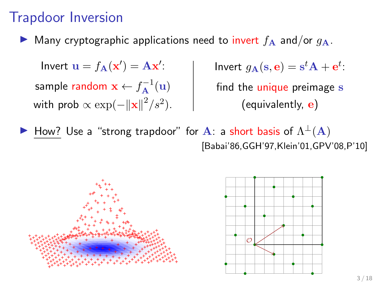Many cryptographic applications need to invert  $f_A$  and/or  $q_A$ .

Invert  $\mathbf{u} = f_{\mathbf{A}}(\mathbf{x}') = \mathbf{A}\mathbf{x}'$ : sample random  $\mathbf{x} \leftarrow f_{\mathbf{A}}^{-1}(\mathbf{u})$ with prob  $\propto \exp(-\|\mathbf{x}\|^2/s^2)$ . Invert  $g_{\mathbf{A}}(\mathbf{s}, \mathbf{e}) = \mathbf{s}^t \mathbf{A} + \mathbf{e}^t$ : find the unique preimage s (equivalently, e)

 $\blacktriangleright$  How? Use a "strong trapdoor" for A: a short basis of  $\Lambda^{\perp}(A)$ [Babai'86,GGH'97,Klein'01,GPV'08,P'10]



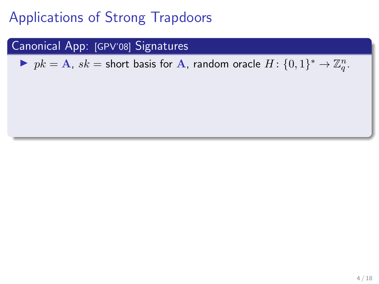#### Canonical App: [GPV'08] Signatures

▶  $pk = A$ ,  $sk =$  short basis for A, random oracle  $H: \{0, 1\}^* \rightarrow \mathbb{Z}_q^n$ .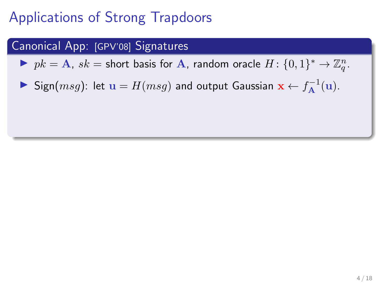#### Canonical App: [GPV'08] Signatures

▶  $pk = A$ ,  $sk =$  short basis for A, random oracle  $H: \{0, 1\}^* \rightarrow \mathbb{Z}_q^n$ .

▶ Sign $(msg)$ : let  $\mathbf{u} = H(msg)$  and output Gaussian  $\mathbf{x} \leftarrow f_{\mathbf{A}}^{-1}(\mathbf{u})$ .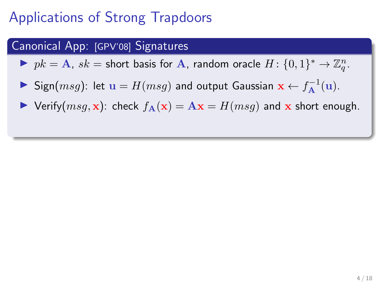#### Canonical App: [GPV'08] Signatures

▶  $pk = A$ ,  $sk =$  short basis for A, random oracle  $H: \{0, 1\}^* \rightarrow \mathbb{Z}_q^n$ .

- ▶ Sign $(msg)$ : let  $\mathbf{u} = H(msg)$  and output Gaussian  $\mathbf{x} \leftarrow f_{\mathbf{A}}^{-1}(\mathbf{u})$ .
- $\triangleright$  Verify( $msg, x$ ): check  $f_A(x) = Ax = H(msg)$  and x short enough.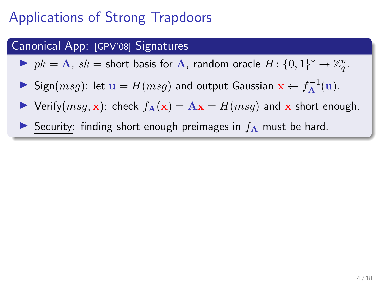#### Canonical App: [GPV'08] Signatures

▶  $pk = A$ ,  $sk =$  short basis for A, random oracle  $H: \{0, 1\}^* \rightarrow \mathbb{Z}_q^n$ .

- ▶ Sign $(msg)$ : let  $\mathbf{u} = H(msg)$  and output Gaussian  $\mathbf{x} \leftarrow f_{\mathbf{A}}^{-1}(\mathbf{u})$ .
- $\triangleright$  Verify $(msg, x)$ : check  $f_{\mathbf{A}}(x) = \mathbf{A}x = H(msg)$  and x short enough.
- Security: finding short enough preimages in  $f_A$  must be hard.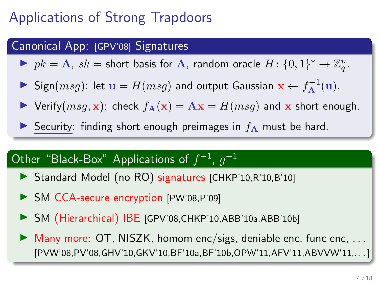#### Canonical App: [GPV'08] Signatures

▶  $pk = A$ ,  $sk =$  short basis for A, random oracle  $H: \{0, 1\}^* \rightarrow \mathbb{Z}_q^n$ .

- ▶ Sign $(msg)$ : let  $\mathbf{u} = H(msg)$  and output Gaussian  $\mathbf{x} \leftarrow f_{\mathbf{A}}^{-1}(\mathbf{u})$ .
- $\triangleright$  Verify $(msg, x)$ : check  $f_{\mathbf{A}}(x) = \mathbf{A}x = H(msg)$  and x short enough.
- Security: finding short enough preimages in  $f_A$  must be hard.

### Other "Black-Box" Applications of  $f^{-1}$ ,  $g^{-1}$

- ▶ Standard Model (no RO) signatures [CHKP'10,R'10,B'10]
- ▶ SM CCA-secure encryption [PW'08,P'09]
- ▶ SM (Hierarchical) IBE [GPV'08,CHKP'10,ABB'10a,ABB'10b]
- $\triangleright$  Many more: OT, NISZK, homom enc/sigs, deniable enc, func enc, ... [PVW'08,PV'08,GHV'10,GKV'10,BF'10a,BF'10b,OPW'11,AFV'11,ABVVW'11,...]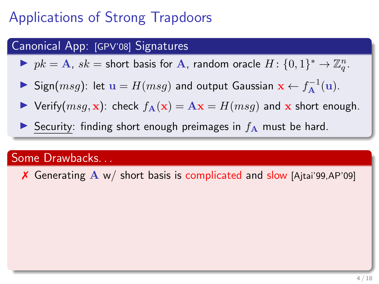#### Canonical App: [GPV'08] Signatures

▶  $pk = A$ ,  $sk =$  short basis for A, random oracle  $H: \{0, 1\}^* \rightarrow \mathbb{Z}_q^n$ .

- ▶ Sign $(msg)$ : let  $\mathbf{u} = H(msg)$  and output Gaussian  $\mathbf{x} \leftarrow f_{\mathbf{A}}^{-1}(\mathbf{u})$ .
- $\triangleright$  Verify( $msg, x$ ): check  $f_A(x) = Ax = H(msg)$  and x short enough.
- Security: finding short enough preimages in  $f_A$  must be hard.

#### Some Drawbacks. . .

X Generating A w/ short basis is complicated and slow [Ajtai'99,AP'09]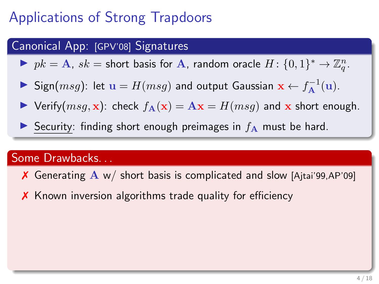#### Canonical App: [GPV'08] Signatures

▶  $pk = A$ ,  $sk =$  short basis for A, random oracle  $H: \{0, 1\}^* \rightarrow \mathbb{Z}_q^n$ .

- ▶ Sign $(msg)$ : let  $\mathbf{u} = H(msg)$  and output Gaussian  $\mathbf{x} \leftarrow f_{\mathbf{A}}^{-1}(\mathbf{u})$ .
- $\triangleright$  Verify $(msg, x)$ : check  $f_{\mathbf{A}}(x) = \mathbf{A}x = H(msg)$  and x short enough.
- Security: finding short enough preimages in  $f_A$  must be hard.

#### Some Drawbacks. . .

- X Generating A w/ short basis is complicated and slow [Ajtai'99,AP'09]
- ✗ Known inversion algorithms trade quality for efficiency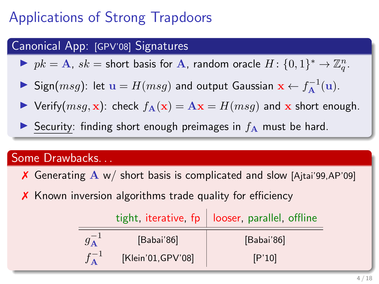#### Canonical App: [GPV'08] Signatures

▶  $pk = A$ ,  $sk =$  short basis for A, random oracle  $H: \{0, 1\}^* \rightarrow \mathbb{Z}_q^n$ .

- ▶ Sign $(msg)$ : let  $\mathbf{u} = H(msg)$  and output Gaussian  $\mathbf{x} \leftarrow f_{\mathbf{A}}^{-1}(\mathbf{u})$ .
- $\triangleright$  Verify $(msg, x)$ : check  $f_{\mathbf{A}}(x) = \mathbf{A}x = H(msg)$  and x short enough.
- Security: finding short enough preimages in  $f_A$  must be hard.

#### Some Drawbacks. . .

X Generating  $A w /$  short basis is complicated and slow [Ajtai'99,AP'09]

✗ Known inversion algorithms trade quality for efficiency

|                       |                    | tight, iterative, $fp \mid looser$ , parallel, offline |  |
|-----------------------|--------------------|--------------------------------------------------------|--|
| $g_{\mathbf{A}}^{-1}$ | [Babai'86]         | [Babai'86]                                             |  |
|                       | [Klein'01, GPV'08] | [P'10]                                                 |  |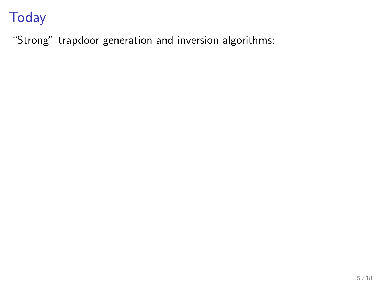"Strong" trapdoor generation and inversion algorithms: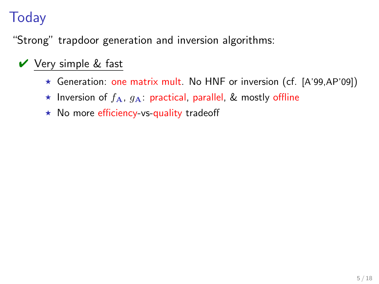"Strong" trapdoor generation and inversion algorithms:

### ✔ Very simple & fast

- $\star$  Generation: one matrix mult. No HNF or inversion (cf. [A'99,AP'09])
- $\star$  Inversion of  $f_{\mathbf{A}}, g_{\mathbf{A}}$ : practical, parallel, & mostly offline
- $\star$  No more efficiency-vs-quality tradeoff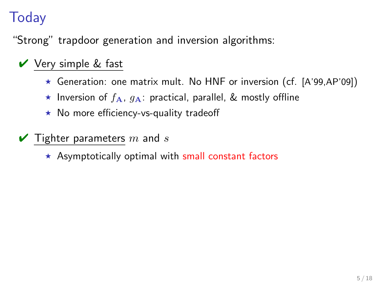"Strong" trapdoor generation and inversion algorithms:

### $\vee$  Very simple & fast

- $\star$  Generation: one matrix mult. No HNF or inversion (cf. [A'99,AP'09])
- **\*** Inversion of  $f_A$ ,  $g_A$ : practical, parallel, & mostly offline
- $\star$  No more efficiency-vs-quality tradeoff
- $\blacktriangleright$  Tighter parameters m and s
	- $\star$  Asymptotically optimal with small constant factors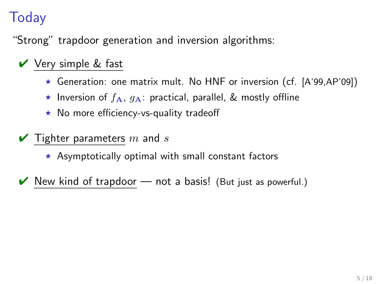"Strong" trapdoor generation and inversion algorithms:

### ✔ Very simple & fast

- $\star$  Generation: one matrix mult. No HNF or inversion (cf. [A'99,AP'09])
- **\*** Inversion of  $f_A$ ,  $g_A$ : practical, parallel, & mostly offline
- $\star$  No more efficiency-vs-quality tradeoff
- $\blacktriangleright$  Tighter parameters m and s
	- $\star$  Asymptotically optimal with small constant factors
- New kind of trapdoor  $-$  not a basis! (But just as powerful.)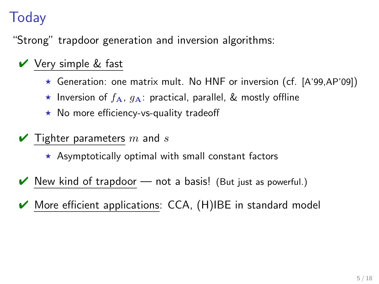"Strong" trapdoor generation and inversion algorithms:

### $\vee$  Very simple & fast

- $\star$  Generation: one matrix mult. No HNF or inversion (cf. [A'99,AP'09])
- **\*** Inversion of  $f_A$ ,  $g_A$ : practical, parallel, & mostly offline
- $\star$  No more efficiency-vs-quality tradeoff
- $\blacktriangleright$  Tighter parameters m and s
	- $\star$  Asymptotically optimal with small constant factors
- $\vee$  New kind of trapdoor not a basis! (But just as powerful.)
- More efficient applications: CCA, (H)IBE in standard model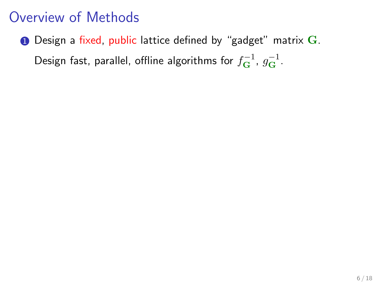### Overview of Methods

 $\bullet$  Design a fixed, public lattice defined by "gadget" matrix  $\mathbf{G}$ . Design fast, parallel, offline algorithms for  $f_{\bf G}^{-1}$ ,  $g_{\bf G}^{-1}$ .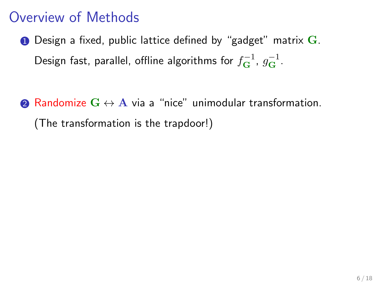### Overview of Methods

- $\bullet$  Design a fixed, public lattice defined by "gadget" matrix  $\mathbf{G}$ . Design fast, parallel, offline algorithms for  $f_{\bf G}^{-1}$ ,  $g_{\bf G}^{-1}$ .
- **2** Randomize  $G \leftrightarrow A$  via a "nice" unimodular transformation. (The transformation is the trapdoor!)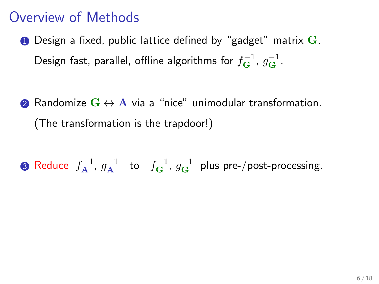### Overview of Methods

- $\bullet$  Design a fixed, public lattice defined by "gadget" matrix  $\mathbf{G}$ . Design fast, parallel, offline algorithms for  $f_{\bf G}^{-1}$ ,  $g_{\bf G}^{-1}$ .
- 2 Randomize  $G \leftrightarrow A$  via a "nice" unimodular transformation. (The transformation is the trapdoor!)

**3** Reduce  $f_{\mathbf{A}}^{-1}$ ,  $g_{\mathbf{A}}^{-1}$  to  $f_{\mathbf{G}}^{-1}$ ,  $g_{\mathbf{G}}^{-1}$  plus pre-/post-processing.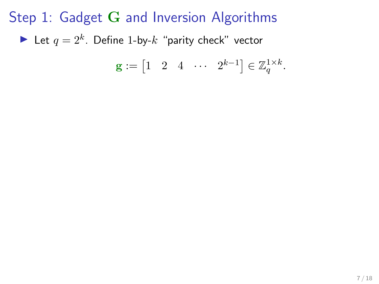$$
\mathbf{g} := \begin{bmatrix} 1 & 2 & 4 & \cdots & 2^{k-1} \end{bmatrix} \in \mathbb{Z}_q^{1 \times k}.
$$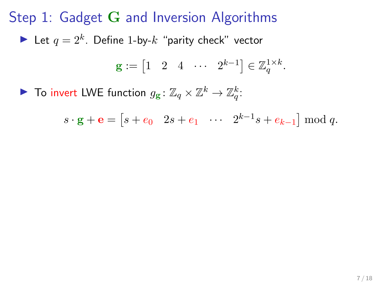$$
\mathbf{g} := \begin{bmatrix} 1 & 2 & 4 & \cdots & 2^{k-1} \end{bmatrix} \in \mathbb{Z}_q^{1 \times k}.
$$

▶ To invert LWE function  $g_{\mathbf{g}}: \mathbb{Z}_q \times \mathbb{Z}^k \to \mathbb{Z}_q^k$ :

 $s \cdot \mathbf{g} + \mathbf{e} = [s + e_0 \quad 2s + e_1 \quad \cdots \quad 2^{k-1} s + e_{k-1}] \mod q.$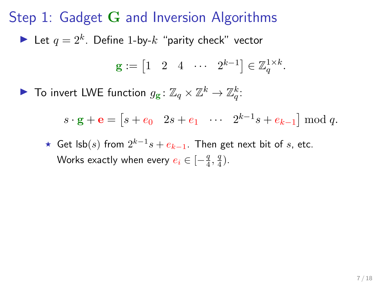Step 1: Gadget G and Inversion Algorithms Let  $q = 2^k$ . Define 1-by- $k$  "parity check" vector  $\mathbf{g} := \begin{bmatrix} 1 & 2 & 4 & \cdots & 2^{k-1} \end{bmatrix} \in \mathbb{Z}_q^{1 \times k}.$ 

▶ To invert LWE function  $g_{\mathbf{g}}: \mathbb{Z}_q \times \mathbb{Z}^k \to \mathbb{Z}_q^k$ :

 $s \cdot \mathbf{g} + \mathbf{e} = [s + e_0 \quad 2s + e_1 \quad \cdots \quad 2^{k-1} s + e_{k-1}] \mod q.$ 

★ Get lsb $(s)$  from  $2^{k-1}s + e_{k-1}$ . Then get next bit of s, etc. Works exactly when every  $e_i \in [-\frac{q}{4},\frac{q}{4}).$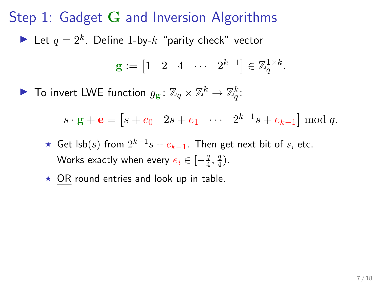$\mathbf{g} := \begin{bmatrix} 1 & 2 & 4 & \cdots & 2^{k-1} \end{bmatrix} \in \mathbb{Z}_q^{1 \times k}.$ 

▶ To invert LWE function  $g_{\mathbf{g}}: \mathbb{Z}_q \times \mathbb{Z}^k \to \mathbb{Z}_q^k$ :

 $s \cdot \mathbf{g} + \mathbf{e} = [s + e_0 \quad 2s + e_1 \quad \cdots \quad 2^{k-1} s + e_{k-1}] \mod q.$ 

- ★ Get lsb $(s)$  from  $2^{k-1}s + e_{k-1}$ . Then get next bit of s, etc. Works exactly when every  $e_i \in [-\frac{q}{4},\frac{q}{4}).$
- $\star$  OR round entries and look up in table.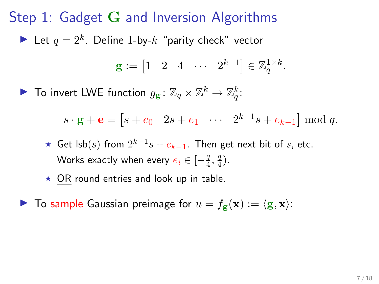$$
\mathbf{g} := \begin{bmatrix} 1 & 2 & 4 & \cdots & 2^{k-1} \end{bmatrix} \in \mathbb{Z}_q^{1 \times k}.
$$

▶ To invert LWE function  $g_{\mathbf{g}}: \mathbb{Z}_q \times \mathbb{Z}^k \to \mathbb{Z}_q^k$ :

 $s \cdot \mathbf{g} + \mathbf{e} = [s + e_0 \quad 2s + e_1 \quad \cdots \quad 2^{k-1} s + e_{k-1}] \mod q.$ 

- ★ Get lsb $(s)$  from  $2^{k-1}s + e_{k-1}$ . Then get next bit of s, etc. Works exactly when every  $e_i \in [-\frac{q}{4},\frac{q}{4}).$
- $\star$  OR round entries and look up in table.

 $\blacktriangleright$  To sample Gaussian preimage for  $u = f_{\mathbf{g}}(\mathbf{x}) := \langle \mathbf{g}, \mathbf{x} \rangle$ :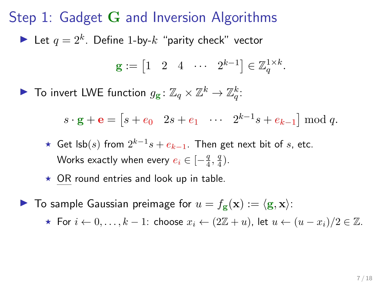$$
\mathbf{g} := \begin{bmatrix} 1 & 2 & 4 & \cdots & 2^{k-1} \end{bmatrix} \in \mathbb{Z}_q^{1 \times k}.
$$

▶ To invert LWE function  $g_{\mathbf{g}}: \mathbb{Z}_q \times \mathbb{Z}^k \to \mathbb{Z}_q^k$ :

 $s \cdot \mathbf{g} + \mathbf{e} = [s + e_0 \quad 2s + e_1 \quad \cdots \quad 2^{k-1} s + e_{k-1}] \mod q.$ 

- ★ Get lsb $(s)$  from  $2^{k-1}s + e_{k-1}$ . Then get next bit of s, etc. Works exactly when every  $e_i \in [-\frac{q}{4},\frac{q}{4}).$
- $\star$  OR round entries and look up in table.

 $\blacktriangleright$  To sample Gaussian preimage for  $u = f_{\mathbf{g}}(\mathbf{x}) := \langle \mathbf{g}, \mathbf{x} \rangle$ :

**★ For**  $i \leftarrow 0, ..., k - 1$ : choose  $x_i \leftarrow (2\mathbb{Z} + u)$ , let  $u \leftarrow (u - x_i)/2 \in \mathbb{Z}$ .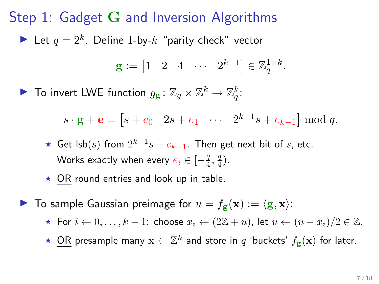$$
\mathbf{g} := \begin{bmatrix} 1 & 2 & 4 & \cdots & 2^{k-1} \end{bmatrix} \in \mathbb{Z}_q^{1 \times k}.
$$

▶ To invert LWE function  $g_{\mathbf{g}}: \mathbb{Z}_q \times \mathbb{Z}^k \to \mathbb{Z}_q^k$ :

 $s \cdot \mathbf{g} + \mathbf{e} = [s + e_0 \quad 2s + e_1 \quad \cdots \quad 2^{k-1} s + e_{k-1}] \mod q.$ 

- ★ Get lsb $(s)$  from  $2^{k-1}s + e_{k-1}$ . Then get next bit of s, etc. Works exactly when every  $e_i \in [-\frac{q}{4},\frac{q}{4}).$
- $\star$  OR round entries and look up in table.
- $\blacktriangleright$  To sample Gaussian preimage for  $u = f_{\mathbf{g}}(\mathbf{x}) := \langle \mathbf{g}, \mathbf{x} \rangle$ :
	- **★ For**  $i \leftarrow 0, \ldots, k-1$ : choose  $x_i \leftarrow (2\mathbb{Z}+u)$ , let  $u \leftarrow (u-x_i)/2 \in \mathbb{Z}$ .
	- ★ OR presample many  $\mathbf{x} \leftarrow \mathbb{Z}^k$  and store in  $q$  'buckets'  $f_{\mathbf{g}}(\mathbf{x})$  for later.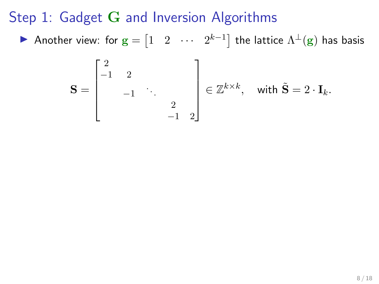Step 1: Gadget G and Inversion Algorithms

▶ Another view: for  $\mathbf{g} = \begin{bmatrix} 1 & 2 & \cdots & 2^{k-1} \end{bmatrix}$  the lattice  $\Lambda^\perp(\mathbf{g})$  has basis

$$
\mathbf{S} = \begin{bmatrix} 2 & & & \\ -1 & 2 & & \\ & -1 & \ddots & \\ & & 2 & \\ & & -1 & 2 \end{bmatrix} \in \mathbb{Z}^{k \times k}, \text{ with } \tilde{\mathbf{S}} = 2 \cdot \mathbf{I}_k.
$$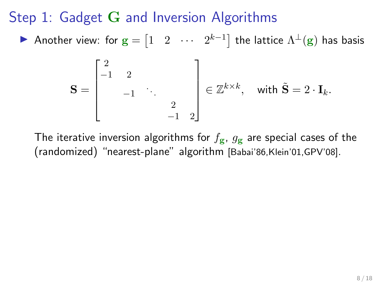Step 1: Gadget G and Inversion Algorithms

▶ Another view: for  $\mathbf{g} = \begin{bmatrix} 1 & 2 & \cdots & 2^{k-1} \end{bmatrix}$  the lattice  $\Lambda^\perp(\mathbf{g})$  has basis

$$
\mathbf{S} = \begin{bmatrix} 2 & & & \\ -1 & 2 & & \\ & -1 & \ddots & \\ & & 2 & \\ & & -1 & 2 \end{bmatrix} \in \mathbb{Z}^{k \times k}, \text{ with } \tilde{\mathbf{S}} = 2 \cdot \mathbf{I}_k.
$$

The iterative inversion algorithms for  $f_{\mathbf{g}}$ ,  $g_{\mathbf{g}}$  are special cases of the (randomized) "nearest-plane" algorithm [Babai'86,Klein'01,GPV'08].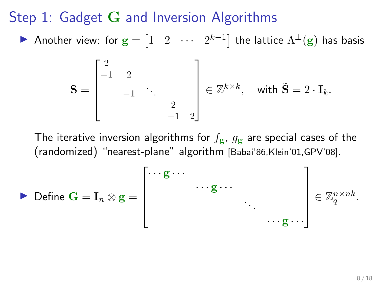Step 1: Gadget G and Inversion Algorithms

▶ Another view: for  $\mathbf{g} = \begin{bmatrix} 1 & 2 & \cdots & 2^{k-1} \end{bmatrix}$  the lattice  $\Lambda^\perp(\mathbf{g})$  has basis

$$
\mathbf{S} = \begin{bmatrix} 2 & & & \\ -1 & 2 & & \\ & -1 & \ddots & \\ & & 2 & \\ & & -1 & 2 \end{bmatrix} \in \mathbb{Z}^{k \times k}, \text{ with } \tilde{\mathbf{S}} = 2 \cdot \mathbf{I}_k.
$$

The iterative inversion algorithms for  $f_{\mathbf{g}}$ ,  $g_{\mathbf{g}}$  are special cases of the (randomized) "nearest-plane" algorithm [Babai'86,Klein'01,GPV'08].

$$
\triangleright \text{ Define } \mathbf{G} = \mathbf{I}_n \otimes \mathbf{g} = \begin{bmatrix} \cdots \mathbf{g} \cdots & & \\ & \cdots \mathbf{g} \cdots & \\ & & \ddots & \\ & & \ddots & \\ & & & \ddots \end{bmatrix} \in \mathbb{Z}_q^{n \times nk}.
$$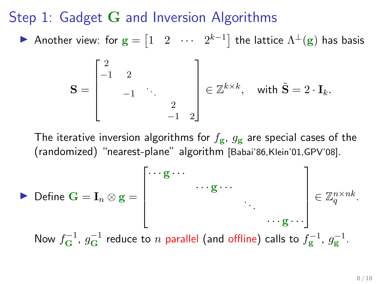Step 1: Gadget G and Inversion Algorithms

▶ Another view: for  $\mathbf{g} = \begin{bmatrix} 1 & 2 & \cdots & 2^{k-1} \end{bmatrix}$  the lattice  $\Lambda^\perp(\mathbf{g})$  has basis

$$
\mathbf{S} = \begin{bmatrix} 2 & & & \\ -1 & 2 & & \\ & -1 & \ddots & \\ & & 2 & \\ & & -1 & 2 \end{bmatrix} \in \mathbb{Z}^{k \times k}, \text{ with } \tilde{\mathbf{S}} = 2 \cdot \mathbf{I}_k.
$$

The iterative inversion algorithms for  $f_{\mathbf{g}}$ ,  $g_{\mathbf{g}}$  are special cases of the (randomized) "nearest-plane" algorithm [Babai'86,Klein'01,GPV'08].

$$
\triangleright \text{ Define } \mathbf{G} = \mathbf{I}_n \otimes \mathbf{g} = \begin{bmatrix} \cdots \mathbf{g} \cdots \\ \cdots \mathbf{g} \cdots \\ \vdots \\ \cdots \mathbf{g} \cdots \end{bmatrix} \in \mathbb{Z}_q^{n \times nk}.
$$
  
Now  $f_{\mathbf{G}}^{-1}$ ,  $g_{\mathbf{G}}^{-1}$  reduce to *n* parallel (and offline) calls to  $f_{\mathbf{g}}^{-1}$ ,  $g_{\mathbf{g}}^{-1}$ .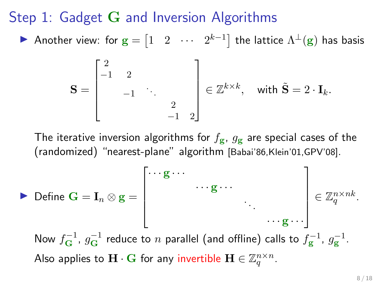Step 1: Gadget G and Inversion Algorithms

▶ Another view: for  $\mathbf{g} = \begin{bmatrix} 1 & 2 & \cdots & 2^{k-1} \end{bmatrix}$  the lattice  $\Lambda^\perp(\mathbf{g})$  has basis

$$
\mathbf{S} = \begin{bmatrix} 2 & & & \\ -1 & 2 & & \\ & -1 & \ddots & \\ & & 2 & \\ & & -1 & 2 \end{bmatrix} \in \mathbb{Z}^{k \times k}, \text{ with } \tilde{\mathbf{S}} = 2 \cdot \mathbf{I}_k.
$$

The iterative inversion algorithms for  $f_{\mathbf{g}}$ ,  $g_{\mathbf{g}}$  are special cases of the (randomized) "nearest-plane" algorithm [Babai'86,Klein'01,GPV'08].

Define 
$$
\mathbf{G} = \mathbf{I}_n \otimes \mathbf{g} = \begin{bmatrix} \cdots \mathbf{g} \cdots & \cdots & \cdots \\ \cdots \mathbf{g} \cdots & \cdots \\ \vdots & \ddots \\ \vdots & \ddots \\ \vdots & \ddots \\ \vdots \\ \vdots \\ \vdots \end{bmatrix} \in \mathbb{Z}_q^{n \times nk}.
$$

\nNow  $f_{\mathbf{G}}^{-1}$ ,  $g_{\mathbf{G}}^{-1}$  reduce to *n* parallel (and offline) calls to  $f_{\mathbf{g}}^{-1}$ ,  $g_{\mathbf{g}}^{-1}$ .

\nAlso applies to  $\mathbf{H} \cdot \mathbf{G}$  for any invertible  $\mathbf{H} \in \mathbb{Z}_q^{n \times n}$ .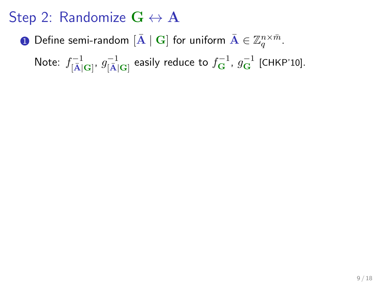$\bf D$  Define semi-random  $[{\bf \bar A}\mid {\bf G}]$  for uniform  ${\bf \bar A}\in \mathbb Z_q^{n\times \bar m}.$ 

Note:  $f^{-1}_{[\bar{\text{A}}] \text{G}]'}$   $g^{-1}_{[\bar{\text{A}}] \text{G}]}$  easily reduce to  $f^{-1}_{\text{G}}$ ,  $g^{-1}_{\text{G}}$  [CHKP'10].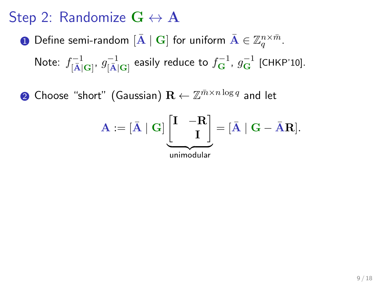$\bf D$  Define semi-random  $[{\bf \bar A}\mid {\bf G}]$  for uniform  ${\bf \bar A}\in \mathbb Z_q^{n\times \bar m}.$ 

Note:  $f^{-1}_{[\bar{\text{A}}] \text{G}]'}$   $g^{-1}_{[\bar{\text{A}}] \text{G}]}$  easily reduce to  $f^{-1}_{\text{G}}$ ,  $g^{-1}_{\text{G}}$  [CHKP'10].

 $\mathbf 2$  Choose "short" (Gaussian)  $\mathbf R \leftarrow \mathbb Z^{\bar m \times n \log q}$  and let

$$
\mathbf{A} := [\bar{\mathbf{A}} \mid \mathbf{G}] \underbrace{\begin{bmatrix} \mathbf{I} & -\mathbf{R} \\ & \mathbf{I} \end{bmatrix}}_{\text{unimodular}} = [\bar{\mathbf{A}} \mid \mathbf{G} - \bar{\mathbf{A}} \mathbf{R}].
$$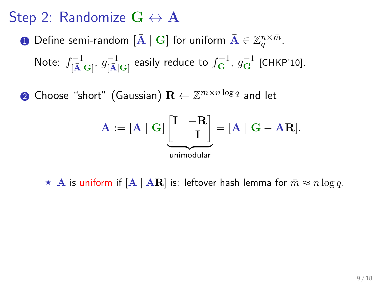$\bf D$  Define semi-random  $[{\bf \bar A}\mid {\bf G}]$  for uniform  ${\bf \bar A}\in \mathbb Z_q^{n\times \bar m}.$ 

Note:  $f^{-1}_{[\bar{\text{A}}] \text{G}]'}$   $g^{-1}_{[\bar{\text{A}}] \text{G}]}$  easily reduce to  $f^{-1}_{\text{G}}$ ,  $g^{-1}_{\text{G}}$  [CHKP'10].

 $\mathbf 2$  Choose "short" (Gaussian)  $\mathbf R \leftarrow \mathbb Z^{\bar m \times n \log q}$  and let

$$
\mathbf{A} := [\bar{\mathbf{A}} \mid \mathbf{G}] \underbrace{\begin{bmatrix} \mathbf{I} & -\mathbf{R} \\ & \mathbf{I} \end{bmatrix}}_{\text{unimodular}} = [\bar{\mathbf{A}} \mid \mathbf{G} - \bar{\mathbf{A}} \mathbf{R}].
$$

 $\star$  A is uniform if  $[\bar{\mathbf{A}} \mid \bar{\mathbf{A}} \mathbf{R}]$  is: leftover hash lemma for  $\bar{m} \approx n \log q$ .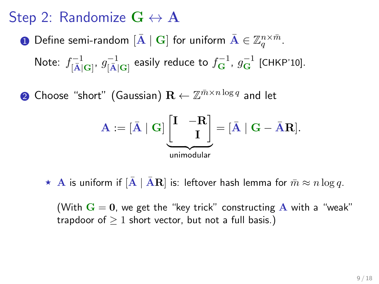$\bf D$  Define semi-random  $[{\bf \bar A}\mid {\bf G}]$  for uniform  ${\bf \bar A}\in \mathbb Z_q^{n\times \bar m}.$ 

Note:  $f^{-1}_{[\bar{\text{A}}] \text{G}]'}$   $g^{-1}_{[\bar{\text{A}}] \text{G}]}$  easily reduce to  $f^{-1}_{\text{G}}$ ,  $g^{-1}_{\text{G}}$  [CHKP'10].

 $\mathbf 2$  Choose "short" (Gaussian)  $\mathbf R \leftarrow \mathbb Z^{\bar m \times n \log q}$  and let

$$
\mathbf{A} := [\bar{\mathbf{A}} \mid \mathbf{G}] \underbrace{\begin{bmatrix} \mathbf{I} & -\mathbf{R} \\ & \mathbf{I} \end{bmatrix}}_{\text{uniform}
$$

 $\star$  A is uniform if  $[A \mid AR]$  is: leftover hash lemma for  $\bar{m} \approx n \log q$ .

(With  $G = 0$ , we get the "key trick" constructing A with a "weak" trapdoor of  $> 1$  short vector, but not a full basis.)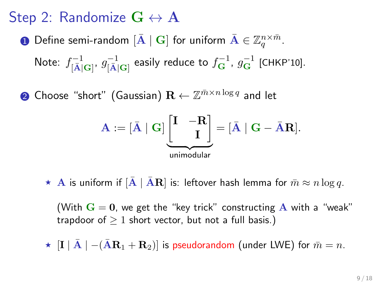$\bf D$  Define semi-random  $[{\bf \bar A}\mid {\bf G}]$  for uniform  ${\bf \bar A}\in \mathbb Z_q^{n\times \bar m}.$ 

Note:  $f^{-1}_{[\bar{\text{A}}] \text{G}]'}$   $g^{-1}_{[\bar{\text{A}}] \text{G}]}$  easily reduce to  $f^{-1}_{\text{G}}$ ,  $g^{-1}_{\text{G}}$  [CHKP'10].

 $\mathbf 2$  Choose "short" (Gaussian)  $\mathbf R \leftarrow \mathbb Z^{\bar m \times n \log q}$  and let

$$
\mathbf{A} := [\bar{\mathbf{A}} \mid \mathbf{G}] \underbrace{\begin{bmatrix} \mathbf{I} & -\mathbf{R} \\ & \mathbf{I} \end{bmatrix}}_{\text{uniform}
$$

 $\star$  A is uniform if  $[A \mid AR]$  is: leftover hash lemma for  $\bar{m} \approx n \log q$ .

(With  $G = 0$ , we get the "key trick" constructing A with a "weak" trapdoor of  $\geq 1$  short vector, but not a full basis.)

 $\star$   $\left| \mathbf{I} \right| \overline{\mathbf{A}}$   $\left| -(\overline{\mathbf{A}}\mathbf{R}_{1}+\mathbf{R}_{2}) \right|$  is pseudorandom (under LWE) for  $\overline{m}=n$ .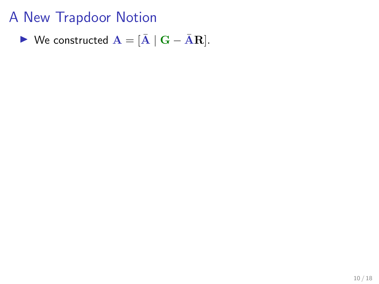$$
\blacktriangleright \text{ We constructed } \mathbf{A} = [\bar{\mathbf{A}} \mid \mathbf{G} - \bar{\mathbf{A}} \mathbf{R}].
$$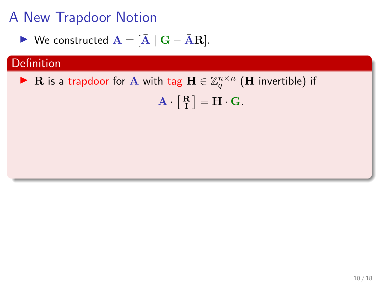$$
\blacktriangleright \text{ We constructed } \mathbf{A} = [\bar{\mathbf{A}} \mid \mathbf{G} - \bar{\mathbf{A}} \mathbf{R}].
$$

### Definition

▶ R is a trapdoor for A with tag  $\mathbf{H} \in \mathbb{Z}_q^{n \times n}$  (H invertible) if  $\mathbf{A} \cdot \begin{bmatrix} \mathbf{R} \\ \mathbf{I} \end{bmatrix} = \mathbf{H} \cdot \mathbf{G}.$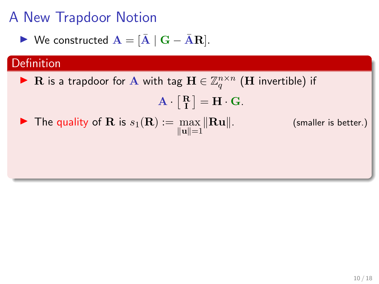$$
\blacktriangleright \text{ We constructed } \mathbf{A} = [\bar{\mathbf{A}} \mid \mathbf{G} - \bar{\mathbf{A}} \mathbf{R}].
$$

### Definition

▶ R is a trapdoor for A with tag  $\mathbf{H} \in \mathbb{Z}_q^{n \times n}$  (H invertible) if

$$
\mathbf{A}\cdot\left[\begin{smallmatrix}\mathbf{R}\\ \mathbf{I}\end{smallmatrix}\right]=\mathbf{H}\cdot\mathbf{G}.
$$

 $\blacktriangleright$  The quality of **R** is  $s_1(\mathbf{R}) := \max_{\|\mathbf{u}\|=1}$ 

(smaller is better.)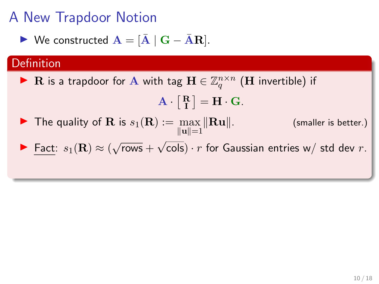$$
\blacktriangleright \text{ We constructed } \mathbf{A} = [\bar{\mathbf{A}} \mid \mathbf{G} - \bar{\mathbf{A}} \mathbf{R}].
$$

#### **Definition**

▶ R is a trapdoor for A with tag  $\mathbf{H} \in \mathbb{Z}_q^{n \times n}$  (H invertible) if

$$
\mathbf{A} \cdot \left[ \begin{smallmatrix} \mathbf{R} \\ \mathbf{I} \end{smallmatrix} \right] = \mathbf{H} \cdot \mathbf{G}.
$$

- $\blacktriangleright$  The quality of **R** is  $s_1(\mathbf{R}) := \max ||\mathbf{R}\mathbf{u}||$ .  $\|u\|=1$ (smaller is better.)
- **►** Fact:  $s_1(\mathbf{R}) \approx (\sqrt{\ }$  $rows +$ √ cols)  $\cdot$   $r$  for Gaussian entries w/ std dev  $r.$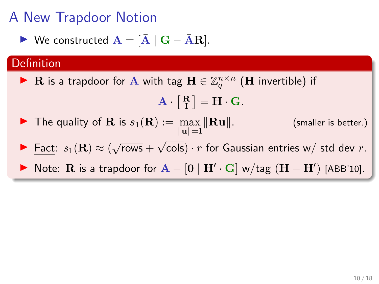$$
\blacktriangleright \text{ We constructed } \mathbf{A} = [\bar{\mathbf{A}} \mid \mathbf{G} - \bar{\mathbf{A}} \mathbf{R}].
$$

#### Definition

▶ R is a trapdoor for A with tag  $\mathbf{H} \in \mathbb{Z}_q^{n \times n}$  (H invertible) if

$$
\mathbf{A} \cdot \begin{bmatrix} \mathbf{R} \\ \mathbf{I} \end{bmatrix} = \mathbf{H} \cdot \mathbf{G}.
$$

- $\blacktriangleright$  The quality of **R** is  $s_1(\mathbf{R}) := \max ||\mathbf{R}\mathbf{u}||$ .  $\|u\|=1$ (smaller is better.)
- **►** Fact:  $s_1(\mathbf{R}) \approx (\sqrt{\ }$  $rows +$ √ cols)  $\cdot$   $r$  for Gaussian entries w/ std dev  $r.$
- ▶ Note: R is a trapdoor for  $A [0 | H' \cdot G]$  w/tag  $(H H')$  [ABB'10].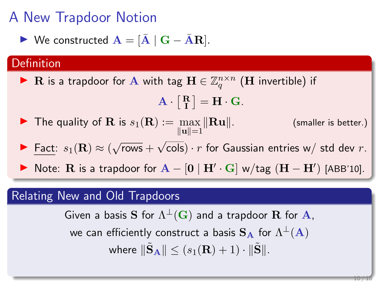$$
\blacktriangleright \text{ We constructed } \mathbf{A} = [\bar{\mathbf{A}} \mid \mathbf{G} - \bar{\mathbf{A}} \mathbf{R}].
$$

#### Definition

▶ R is a trapdoor for A with tag  $\mathbf{H} \in \mathbb{Z}_q^{n \times n}$  (H invertible) if

$$
\mathbf{A} \cdot \begin{bmatrix} \mathbf{R} \\ \mathbf{I} \end{bmatrix} = \mathbf{H} \cdot \mathbf{G}.
$$

- $\blacktriangleright$  The quality of **R** is  $s_1(\mathbf{R}) := \max ||\mathbf{R}\mathbf{u}||$ .  $\|{\mathbf u}\|=1$ (smaller is better.)
- **►** Fact:  $s_1(\mathbf{R}) \approx (\sqrt{\ }$  $rows +$ √ cols)  $\cdot$   $r$  for Gaussian entries w/ std dev  $r.$
- ▶ Note: R is a trapdoor for  $A [0 | H' \cdot G]$  w/tag  $(H H')$  [ABB'10].

#### Relating New and Old Trapdoors

Given a basis  $\mathbf S$  for  $\Lambda^\perp(\mathbf G)$  and a trapdoor  $\mathbf R$  for  $\mathbf A,$ we can efficiently construct a basis  $\mathbf{S}_{\mathbf{A}}$  for  $\Lambda^{\perp}(\mathbf{A})$ where  $\|\tilde{\mathbf{S}}_{\mathbf{A}}\| \leq (s_1(\mathbf{R}) + 1) \cdot \|\tilde{\mathbf{S}}\|.$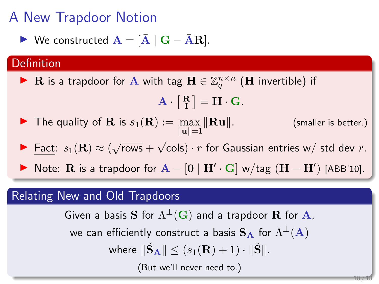$$
\blacktriangleright \text{ We constructed } \mathbf{A} = [\bar{\mathbf{A}} \mid \mathbf{G} - \bar{\mathbf{A}} \mathbf{R}].
$$

#### **Definition**

▶ R is a trapdoor for A with tag  $\mathbf{H} \in \mathbb{Z}_q^{n \times n}$  (H invertible) if

$$
\mathbf{A} \cdot \begin{bmatrix} \mathbf{R} \\ \mathbf{I} \end{bmatrix} = \mathbf{H} \cdot \mathbf{G}.
$$

- $\blacktriangleright$  The quality of **R** is  $s_1(\mathbf{R}) := \max ||\mathbf{R}\mathbf{u}||$ .  $\|u\|=1$ (smaller is better.)
- **►** Fact:  $s_1(\mathbf{R}) \approx (\sqrt{\ }$  $rows +$ √ cols)  $\cdot$   $r$  for Gaussian entries w/ std dev  $r.$
- ▶ Note: R is a trapdoor for  $A [0 | H' \cdot G]$  w/tag  $(H H')$  [ABB'10].

#### Relating New and Old Trapdoors

Given a basis  $\mathbf S$  for  $\Lambda^\perp(\mathbf G)$  and a trapdoor  $\mathbf R$  for  $\mathbf A,$ we can efficiently construct a basis  $\mathbf{S}_{\mathbf{A}}$  for  $\Lambda^{\perp}(\mathbf{A})$ where  $\|\tilde{\mathbf{S}}_{\mathbf{A}}\| \leq (s_1(\mathbf{R}) + 1) \cdot \|\tilde{\mathbf{S}}\|.$ (But we'll never need to.)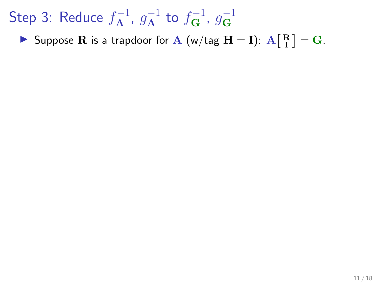Suppose R is a trapdoor for A (w/tag  $H = I$ ):  $A \begin{bmatrix} R \\ I \end{bmatrix} = G$ .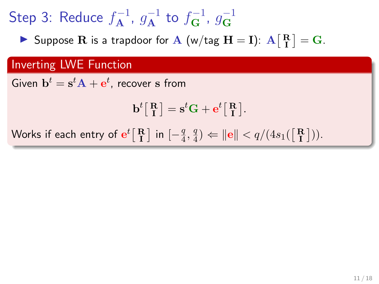Suppose R is a trapdoor for A (w/tag  $H = I$ ):  $A \begin{bmatrix} R \\ I \end{bmatrix} = G$ .

### Inverting LWE Function

Given  $\mathbf{b}^t = \mathbf{s}^t \mathbf{A} + \mathbf{e}^t$ , recover  $\mathbf s$  from

$$
\mathbf{b}^t \big[ \begin{smallmatrix} \mathbf{R} \\ \mathbf{I} \end{smallmatrix} \big] = \mathbf{s}^t \mathbf{G} + \mathbf{e}^t \big[ \begin{smallmatrix} \mathbf{R} \\ \mathbf{I} \end{smallmatrix} \big].
$$

Works if each entry of  $\mathbf{e}^t \big[\mathbf{R}\ \big]$  in  $[-\frac{q}{4}$  $\frac{q}{4}, \frac{q}{4}$  $\left|\frac{q}{4}\right\rangle \Leftarrow \left|\left|\frac{q}{4s_1}\right|\left(\frac{R}{R}\right)\right\rangle.$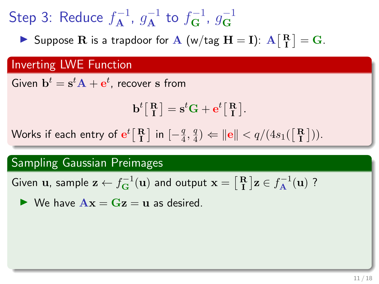Suppose R is a trapdoor for A (w/tag  $H = I$ ):  $A \begin{bmatrix} R \\ I \end{bmatrix} = G$ .

### Inverting LWE Function

Given  $\mathbf{b}^t = \mathbf{s}^t \mathbf{A} + \mathbf{e}^t$ , recover  $\mathbf s$  from

$$
\mathbf{b}^t \big[ \begin{smallmatrix} \mathbf{R} \\ \mathbf{I} \end{smallmatrix} \big] = \mathbf{s}^t \mathbf{G} + \mathbf{e}^t \big[ \begin{smallmatrix} \mathbf{R} \\ \mathbf{I} \end{smallmatrix} \big].
$$

Works if each entry of  $\mathbf{e}^t \big[\mathbf{R}\ \big]$  in  $[-\frac{q}{4}$  $\frac{q}{4}, \frac{q}{4}$  $\left|\frac{q}{4}\right\rangle \Leftarrow \left|\left|\frac{q}{4s_1}\right|\left(\frac{R}{R}\right)\right\rangle.$ 

#### Sampling Gaussian Preimages

Given  ${\bf u}$ , sample  ${\bf z} \leftarrow f_{\bf G}^{-1}({\bf u})$  and output  ${\bf x} = \left[\frac{\bf R}{\bf I}\right] {\bf z} \in f_{\bf A}^{-1}({\bf u})$  ?

$$
\blacktriangleright \text{ We have } \mathbf{A}\mathbf{x} = \mathbf{G}\mathbf{z} = \mathbf{u} \text{ as desired.}
$$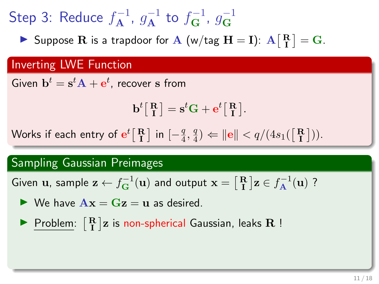Suppose R is a trapdoor for A (w/tag  $H = I$ ):  $A \begin{bmatrix} R \\ I \end{bmatrix} = G$ .

### Inverting LWE Function

Given  $\mathbf{b}^t = \mathbf{s}^t \mathbf{A} + \mathbf{e}^t$ , recover  $\mathbf s$  from

$$
\mathbf{b}^t \big[ \begin{smallmatrix} \mathbf{R} \\ \mathbf{I} \end{smallmatrix} \big] = \mathbf{s}^t \mathbf{G} + \mathbf{e}^t \big[ \begin{smallmatrix} \mathbf{R} \\ \mathbf{I} \end{smallmatrix} \big].
$$

Works if each entry of  $\mathbf{e}^t \big[\mathbf{R}\ \big]$  in  $[-\frac{q}{4}$  $\frac{q}{4}, \frac{q}{4}$  $\left|\frac{q}{4}\right\rangle \Leftarrow \left|\left|\frac{q}{4s_1}\right|\left(\frac{R}{R}\right)\right\rangle.$ 

#### Sampling Gaussian Preimages

Given  ${\bf u}$ , sample  ${\bf z} \leftarrow f_{\bf G}^{-1}({\bf u})$  and output  ${\bf x} = \left[\frac{\bf R}{\bf I}\right] {\bf z} \in f_{\bf A}^{-1}({\bf u})$  ?

- $\triangleright$  We have  $\mathbf{A}\mathbf{x} = \mathbf{G}\mathbf{z} = \mathbf{u}$  as desired.
- $\blacktriangleright \; \underline{\mathsf{Problem}}: \; \bigl[ \begin{smallmatrix} \mathbf{R} \\ \mathbf{I} \end{smallmatrix} \bigr] \mathbf{z} \; \text{is non-spherical Gaussian, leaks } \mathbf{R} \; \bigr]$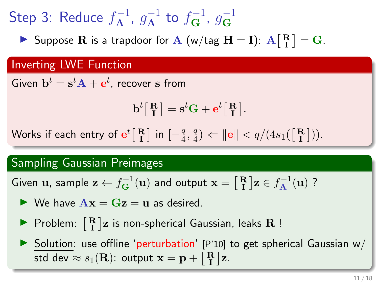Suppose R is a trapdoor for A (w/tag  $H = I$ ):  $A \begin{bmatrix} R \\ I \end{bmatrix} = G$ .

### Inverting LWE Function

Given  $\mathbf{b}^t = \mathbf{s}^t \mathbf{A} + \mathbf{e}^t$ , recover  $\mathbf s$  from

$$
\mathbf{b}^t \big[ \begin{smallmatrix} \mathbf{R} \\ \mathbf{I} \end{smallmatrix} \big] = \mathbf{s}^t \mathbf{G} + \mathbf{e}^t \big[ \begin{smallmatrix} \mathbf{R} \\ \mathbf{I} \end{smallmatrix} \big].
$$

Works if each entry of  $\mathbf{e}^t \big[\mathbf{R}\ \big]$  in  $[-\frac{q}{4}$  $\frac{q}{4}, \frac{q}{4}$  $\left|\frac{q}{4}\right\rangle \Leftarrow \left|\left|\frac{q}{4s_1}\right|\left(\frac{R}{R}\right)\right\rangle.$ 

#### Sampling Gaussian Preimages

Given  ${\bf u}$ , sample  ${\bf z} \leftarrow f_{\bf G}^{-1}({\bf u})$  and output  ${\bf x} = \left[\frac{\bf R}{\bf I}\right] {\bf z} \in f_{\bf A}^{-1}({\bf u})$  ?

- $\triangleright$  We have  $\mathbf{A}\mathbf{x} = \mathbf{G}\mathbf{z} = \mathbf{u}$  as desired.
- $\blacktriangleright \; \underline{\mathsf{Problem}}: \; \bigl[ \begin{smallmatrix} \mathbf{R} \\ \mathbf{I} \end{smallmatrix} \bigr] \mathbf{z} \; \text{is non-spherical Gaussian, leaks } \mathbf{R} \; \bigr]$

 $\triangleright$  Solution: use offline 'perturbation' [P'10] to get spherical Gaussian w/ std dev  $\approx s_1({\bf R})$ : output  ${\bf x}={\bf p} + \left[\begin{smallmatrix}{\bf R}\\ {\bf I}\end{smallmatrix}\right]{\bf z}.$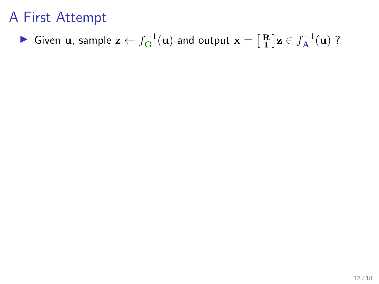# A First Attempt

▶ Given  $\bf{u}$ , sample  $\bf{z} \leftarrow f_{G}^{-1}(\bf{u})$  and output  $\bf{x} = \begin{bmatrix} R \\ I \end{bmatrix} \bf{z} \in f_{A}^{-1}(\bf{u})$  ?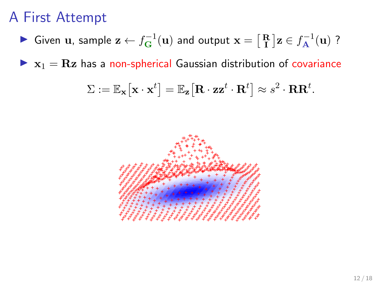# A First Attempt

▶ Given  $\bf{u}$ , sample  $\bf{z} \leftarrow f_{G}^{-1}(\bf{u})$  and output  $\bf{x} = \begin{bmatrix} R \\ I \end{bmatrix} \bf{z} \in f_{A}^{-1}(\bf{u})$  ?

 $\triangleright$   $x_1 = Rz$  has a non-spherical Gaussian distribution of covariance

$$
\Sigma := \mathbb{E}_{\mathbf{x}}\big[\mathbf{x}\cdot \mathbf{x}^t \big] = \mathbb{E}_{\mathbf{z}}\big[\mathbf{R}\cdot \mathbf{z}\mathbf{z}^t\cdot \mathbf{R}^t \big] \approx s^2\cdot \mathbf{R} \mathbf{R}^t.
$$

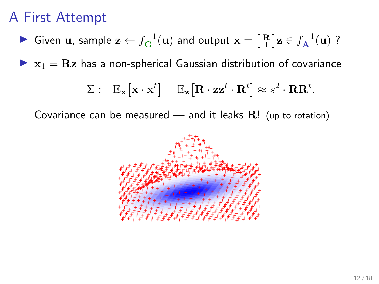# A First Attempt

▶ Given  $\bf{u}$ , sample  $\bf{z} \leftarrow f_{G}^{-1}(\bf{u})$  and output  $\bf{x} = \begin{bmatrix} R \\ I \end{bmatrix} \bf{z} \in f_{A}^{-1}(\bf{u})$  ?

 $\triangleright$   $x_1 = Rz$  has a non-spherical Gaussian distribution of covariance

$$
\Sigma := \mathbb{E}_{\mathbf{x}}\big[\mathbf{x}\cdot \mathbf{x}^t \big] = \mathbb{E}_{\mathbf{z}}\big[\mathbf{R}\cdot \mathbf{z}\mathbf{z}^t\cdot \mathbf{R}^t \big] \approx s^2\cdot \mathbf{R}\mathbf{R}^t.
$$

Covariance can be measured — and it leaks  $\mathbf{R}!$  (up to rotation)

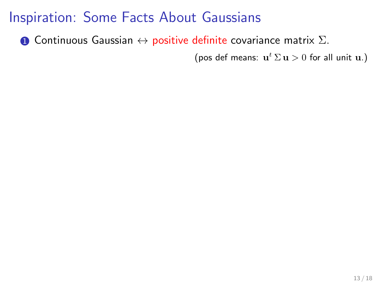**1** Continuous Gaussian  $\leftrightarrow$  positive definite covariance matrix  $\Sigma$ .

(pos def means:  $\mathbf{u}^t \Sigma \mathbf{u} > 0$  for all unit  $\mathbf{u}$ .)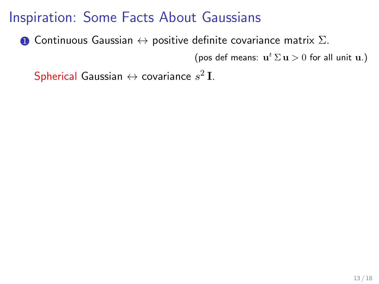**1** Continuous Gaussian  $\leftrightarrow$  positive definite covariance matrix  $\Sigma$ .

(pos def means:  $\mathbf{u}^t \Sigma \mathbf{u} > 0$  for all unit  $\mathbf{u}$ .)

 ${\sf Spherical}$  Gaussian  $\leftrightarrow$  covariance  $s^2\,{\rm I}.$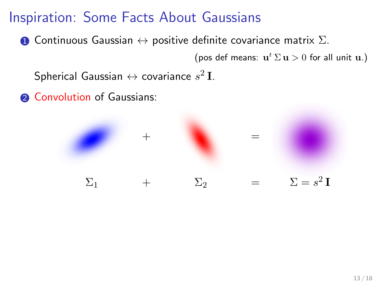**1** Continuous Gaussian  $\leftrightarrow$  positive definite covariance matrix  $\Sigma$ .

(pos def means:  $\mathbf{u}^t \Sigma \mathbf{u} > 0$  for all unit  $\mathbf{u}$ .)

Spherical Gaussian  $\leftrightarrow$  covariance  $s^2$  I.

**2** Convolution of Gaussians:

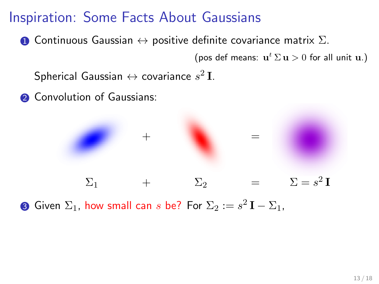**1** Continuous Gaussian  $\leftrightarrow$  positive definite covariance matrix  $\Sigma$ .

(pos def means:  $\mathbf{u}^t \Sigma \mathbf{u} > 0$  for all unit  $\mathbf{u}$ .)

Spherical Gaussian  $\leftrightarrow$  covariance  $s^2$  I.

**2** Convolution of Gaussians:



**3** Given  $\Sigma_1$ , how small can  $s$  be? For  $\Sigma_2 := s^2 \, \mathbf{I} - \Sigma_1,$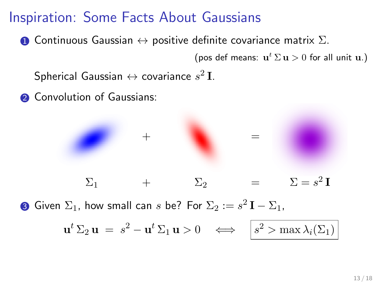**1** Continuous Gaussian  $\leftrightarrow$  positive definite covariance matrix  $\Sigma$ .

(pos def means:  $\mathbf{u}^t \Sigma \mathbf{u} > 0$  for all unit  $\mathbf{u}$ .)

Spherical Gaussian  $\leftrightarrow$  covariance  $s^2$  I.

**2** Convolution of Gaussians:



 $\Sigma_1$  +  $\Sigma_2$  =  $\Sigma = s^2 \mathbf{I}$  ${\bf 3}$  Given  $\Sigma_1$ , how small can  $s$  be? For  $\Sigma_2:=s^2\,{\bf I}-\Sigma_1,$  $\mathbf{u}^t \Sigma_2 \mathbf{u} \ = \ s^2 - \mathbf{u}^t \Sigma_1 \mathbf{u} > 0 \quad \Longleftrightarrow \quad \Big| \, s^2 > \max \lambda_i(\Sigma_1)$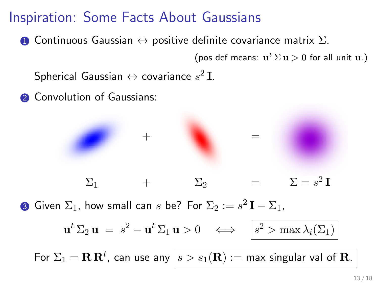**1** Continuous Gaussian  $\leftrightarrow$  positive definite covariance matrix  $\Sigma$ .

(pos def means:  $\mathbf{u}^t \Sigma \mathbf{u} > 0$  for all unit  $\mathbf{u}$ .)

Spherical Gaussian  $\leftrightarrow$  covariance  $s^2$  I.

**2** Convolution of Gaussians:



 $\Sigma_1$  +  $\Sigma_2$  =  $\Sigma = s$  $^{2}$  I

 ${\bf 3}$  Given  $\Sigma_1$ , how small can  $s$  be? For  $\Sigma_2:=s^2\,{\bf I}-\Sigma_1,$ 

$$
\mathbf{u}^t \, \Sigma_2 \, \mathbf{u} \ = \ s^2 - \mathbf{u}^t \, \Sigma_1 \, \mathbf{u} > 0 \quad \Longleftrightarrow \quad \boxed{s^2 > \max \lambda_i(\Sigma_1)}
$$

For  $\Sigma_1 = {\bf R}\, {\bf R}^t$ , can use any  $\big| s > s_1({\bf R}) :=$  max singular val of  ${\bf R}.$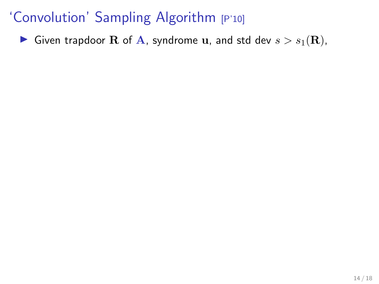Given trapdoor **R** of A, syndrome **u**, and std dev  $s > s_1(\mathbf{R})$ ,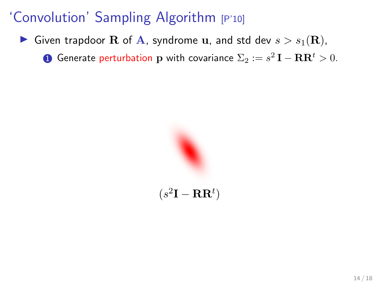Given trapdoor R of A, syndrome u, and std dev  $s > s_1(\mathbf{R})$ ,

 $\bf{D}$  Generate perturbation  $\bf{p}$  with covariance  $\Sigma_2:=s^2\bf{I}-\bf{R}\bf{R}^t>0.$ 

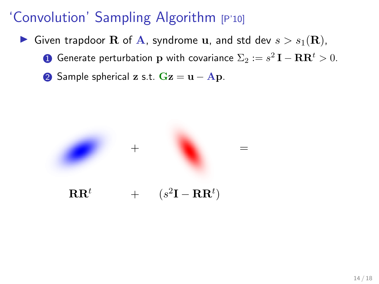- Given trapdoor R of A, syndrome u, and std dev  $s > s_1(\mathbf{R})$ ,
	- $\bf{D}$  Generate perturbation  $\bf{p}$  with covariance  $\Sigma_2:=s^2\bf{I}-\bf{R}\bf{R}^t>0.$
	- 2 Sample spherical z s.t.  $Gz = u Ap$ .

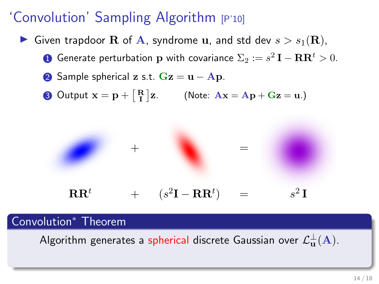- Given trapdoor **R** of **A**, syndrome **u**, and std dev  $s > s_1(\mathbf{R})$ ,
	- $\bf{D}$  Generate perturbation  $\bf{p}$  with covariance  $\Sigma_2:=s^2\bf{I}-\bf{R}\bf{R}^t>0.$
	- 2 Sample spherical z s.t.  $Gz = u Ap$ .
	- **3** Output  $\mathbf{x} = \mathbf{p} + \begin{bmatrix} \mathbf{R} \\ \mathbf{I} \end{bmatrix} \mathbf{z}$ . (Note:  $\mathbf{A}\mathbf{x} = \mathbf{A}\mathbf{p} + \mathbf{G}\mathbf{z} = \mathbf{u}$ .)



#### Convolution<sup>∗</sup> Theorem

Algorithm generates a spherical discrete Gaussian over  $\mathcal{L}^\perp_\mathbf{u}(\mathbf{A}).$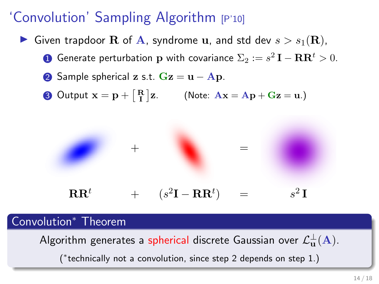- Given trapdoor **R** of **A**, syndrome **u**, and std dev  $s > s_1(\mathbf{R})$ ,
	- $\bf{D}$  Generate perturbation  $\bf{p}$  with covariance  $\Sigma_2:=s^2\bf{I}-\bf{R}\bf{R}^t>0.$
	- 2 Sample spherical z s.t.  $Gz = u Ap$ .
	- **3** Output  $\mathbf{x} = \mathbf{p} + \begin{bmatrix} \mathbf{R} \\ \mathbf{I} \end{bmatrix} \mathbf{z}$ . (Note:  $\mathbf{A}\mathbf{x} = \mathbf{A}\mathbf{p} + \mathbf{G}\mathbf{z} = \mathbf{u}$ .)



#### Convolution<sup>∗</sup> Theorem

Algorithm generates a spherical discrete Gaussian over  $\mathcal{L}^\perp_\mathbf{u}(\mathbf{A}).$ 

( ∗ technically not a convolution, since step 2 depends on step 1.)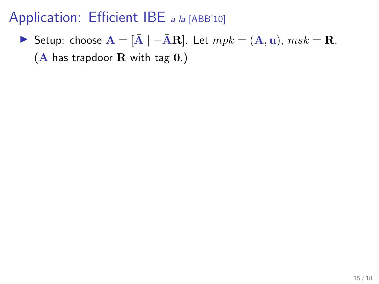# Application: Efficient IBE a la [ABB'10]

► Setup: choose  $\mathbf{A} = [\bar{\mathbf{A}} \mid -\bar{\mathbf{A}}\mathbf{R}]$ . Let  $mpk = (\mathbf{A}, \mathbf{u})$ ,  $msk = \mathbf{R}$ .  $(A$  has trapdoor  $R$  with tag  $0.$ )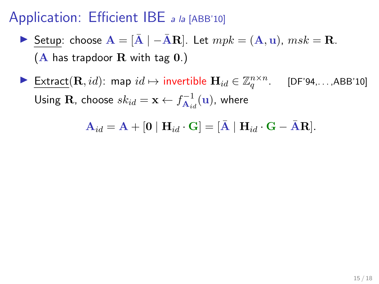## Application: Efficient IBE a la [ABB'10]

- **I** Setup: choose  $\mathbf{A} = [\bar{\mathbf{A}} \mid -\bar{\mathbf{A}}\mathbf{R}]$ . Let  $mpk = (\mathbf{A}, \mathbf{u})$ ,  $msk = \mathbf{R}$ .  $(A$  has trapdoor  $R$  with tag  $0.$ )
- **Extract**(**R**, *id*): map  $id \mapsto$  invertible  $\mathbf{H}_{id} \in \mathbb{Z}_q^{n \times n}$ . [DF'94,...,ABB'10] Using  $\mathbf{R}$ , choose  $sk_{id} = \mathbf{x} \leftarrow f_{\mathbf{A}_{id}}^{-1}$  $\overline{\mathbf{A}}_{id}^{-1}(\mathbf{u})$ , where

 $A_{id} = A + [0 | H_{id} \cdot G] = [\bar{A} | H_{id} \cdot G - \bar{A}R].$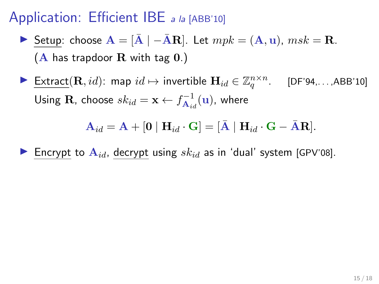#### Application: Efficient IBE a la [ABB'10]

- **I** Setup: choose  $\mathbf{A} = [\bar{\mathbf{A}} \mid -\bar{\mathbf{A}}\mathbf{R}]$ . Let  $mpk = (\mathbf{A}, \mathbf{u})$ ,  $msk = \mathbf{R}$ .  $(A$  has trapdoor  $R$  with tag  $0$ .)
- ► Extract $(\mathbf{R}, id)$ : map  $id \mapsto$  invertible  $\mathbf{H}_{id} \in \mathbb{Z}_q^{n \times n}$ . [DF'94,...,ABB'10] Using  $\mathbf{R}$ , choose  $sk_{id} = \mathbf{x} \leftarrow f_{\mathbf{A}_{id}}^{-1}$  $\overline{\mathbf{A}}_{id}^{-1}(\mathbf{u})$ , where

 $\mathbf{A}_{id} = \mathbf{A} + [\mathbf{0} \mid \mathbf{H}_{id} \cdot \mathbf{G}] = [\mathbf{\bar{A}} \mid \mathbf{H}_{id} \cdot \mathbf{G} - \mathbf{\bar{A}} \mathbf{R}].$ 

Encrypt to  $\mathbf{A}_{id}$ , decrypt using  $sk_{id}$  as in 'dual' system [GPV'08].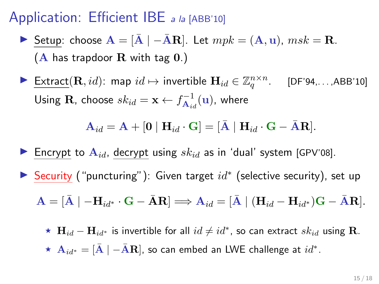#### Application: Efficient IBE a la [ABB'10]

- **I** Setup: choose  $\mathbf{A} = [\bar{\mathbf{A}} \mid -\bar{\mathbf{A}}\mathbf{R}]$ . Let  $mpk = (\mathbf{A}, \mathbf{u})$ ,  $msk = \mathbf{R}$ .  $(A$  has trapdoor R with tag  $0.$ )
- ► Extract $(\mathbf{R}, id)$ : map  $id \mapsto$  invertible  $\mathbf{H}_{id} \in \mathbb{Z}_q^{n \times n}$ . [DF'94,...,ABB'10] Using  $\mathbf{R}$ , choose  $sk_{id} = \mathbf{x} \leftarrow f_{\mathbf{A}_{id}}^{-1}$  $\overline{\mathbf{A}}_{id}^{-1}(\mathbf{u})$ , where

$$
\mathbf{A}_{id} = \mathbf{A} + [\mathbf{0} \mid \mathbf{H}_{id} \cdot \mathbf{G}] = [\bar{\mathbf{A}} \mid \mathbf{H}_{id} \cdot \mathbf{G} - \bar{\mathbf{A}} \mathbf{R}].
$$

- Encrypt to  $A_{id}$ , decrypt using  $sk_{id}$  as in 'dual' system [GPV'08].
- ▶ Security ("puncturing"): Given target  $id^*$  (selective security), set up

$$
\mathbf{A} = [\bar{\mathbf{A}} \mid -\mathbf{H}_{id^*} \cdot \mathbf{G} - \bar{\mathbf{A}} \mathbf{R}] \Longrightarrow \mathbf{A}_{id} = [\bar{\mathbf{A}} \mid (\mathbf{H}_{id} - \mathbf{H}_{id^*})\mathbf{G} - \bar{\mathbf{A}}\mathbf{R}].
$$

★  $\mathbf{H}_{id} - \mathbf{H}_{id}$ \* is invertible for all  $id \neq id^*$ , so can extract  $sk_{id}$  using R.  $\,\star\,$   ${\bf A}_{id^*}=[{\bar {\bf A}}\mid -{\bar {\bf A}}{\bf R}]$ , so can embed an LWE challenge at  $id^*.$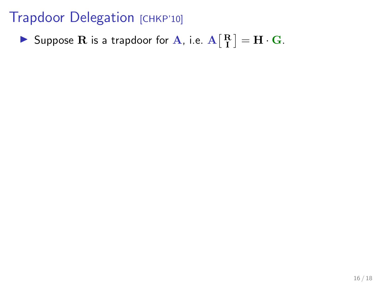Suppose R is a trapdoor for A, i.e.  $A\begin{bmatrix} R \ I \end{bmatrix} = H \cdot G$ .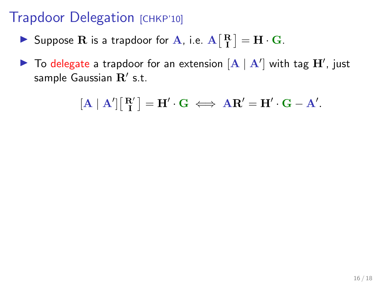- Suppose R is a trapdoor for A, i.e.  $A\begin{bmatrix} R \ I \end{bmatrix} = H \cdot G$ .
- $\blacktriangleright$  To delegate a trapdoor for an extension  $[A \mid A']$  with tag  $\mathbf{H}'$ , just sample Gaussian  $\mathbf{R}'$  s.t.

$$
[\mathbf{A} \mid \mathbf{A}'] [\begin{bmatrix} \mathbf{R}' \\ \mathbf{I} \end{bmatrix} = \mathbf{H}' \cdot \mathbf{G} \iff \mathbf{A}\mathbf{R}' = \mathbf{H}' \cdot \mathbf{G} - \mathbf{A}'.
$$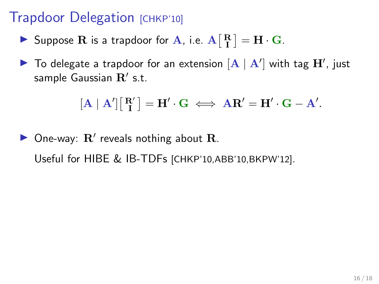- Suppose R is a trapdoor for A, i.e.  $A\begin{bmatrix} R \ I \end{bmatrix} = H \cdot G$ .
- $\blacktriangleright$  To delegate a trapdoor for an extension  $[\mathbf{A} \mid \mathbf{A}']$  with tag  $\mathbf{H}'$ , just sample Gaussian  $\mathbf{R}'$  s.t.

$$
[\mathbf{A}\mid \mathbf{A}']\begin{bmatrix}\mathbf{R}'\\\mathbf{I}\end{bmatrix}=\mathbf{H}'\cdot\mathbf{G} \iff \mathbf{A}\mathbf{R}'=\mathbf{H}'\cdot\mathbf{G}-\mathbf{A}'.
$$

 $\triangleright$  One-way:  $\mathbf{R}'$  reveals nothing about  $\mathbf{R}$ . Useful for HIBE & IB-TDFs [CHKP'10,ABB'10,BKPW'12].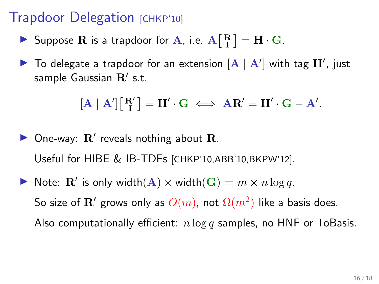- Suppose R is a trapdoor for A, i.e.  $A\begin{bmatrix} R \ I \end{bmatrix} = H \cdot G$ .
- $\blacktriangleright$  To delegate a trapdoor for an extension  $[\mathbf{A} \mid \mathbf{A}']$  with tag  $\mathbf{H}'$ , just sample Gaussian  $\mathbf{R}'$  s.t.

$$
[\mathbf{A}\mid \mathbf{A}']\big[\begin{smallmatrix}\mathbf{R}' \\ \mathbf{I}\end{smallmatrix}\big]=\mathbf{H}'\cdot \mathbf{G} \iff \mathbf{A}\mathbf{R}'=\mathbf{H}'\cdot \mathbf{G}-\mathbf{A}'.
$$

- $\triangleright$  One-way:  $\mathbf{R}'$  reveals nothing about  $\mathbf{R}$ . Useful for HIBE & IB-TDFs [CHKP'10,ABB'10,BKPW'12].
- Note:  $\mathbf{R}'$  is only width $(\mathbf{A}) \times \text{width}(\mathbf{G}) = m \times n \log q$ . So size of  ${\bf R}^\prime$  grows only as  $O(m)$ , not  $\Omega(m^2)$  like a basis does. Also computationally efficient:  $n \log q$  samples, no HNF or ToBasis.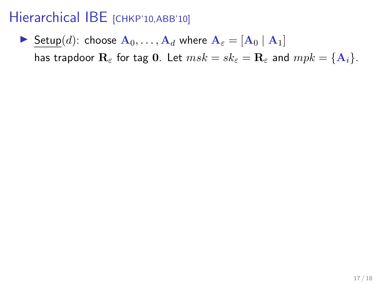Setup(d): choose  $A_0, \ldots, A_d$  where  $A_{\varepsilon} = [A_0 | A_1]$ has trapdoor  $\mathbf{R}_{\varepsilon}$  for tag 0. Let  $msk = sk_{\varepsilon} = \mathbf{R}_{\varepsilon}$  and  $mpk = {\mathbf{A}_i}$ .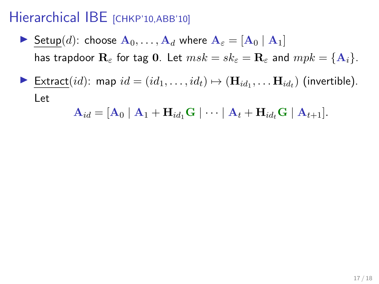- Setup(d): choose  $A_0, \ldots, A_d$  where  $A_\varepsilon = [A_0 | A_1]$ has trapdoor  $\mathbf{R}_{\varepsilon}$  for tag 0. Let  $msk = sk_{\varepsilon} = \mathbf{R}_{\varepsilon}$  and  $mpk = {\mathbf{A}_i}$ .
- ▶ Extract $(id)$ : map  $id = (id_1, \ldots, id_t) \mapsto (\mathbf{H}_{id_1}, \ldots \mathbf{H}_{id_t})$  (invertible). Let

$$
\mathbf{A}_{id} = [\mathbf{A}_0 \mid \mathbf{A}_1 + \mathbf{H}_{id_1} \mathbf{G} \mid \cdots \mid \mathbf{A}_t + \mathbf{H}_{id_t} \mathbf{G} \mid \mathbf{A}_{t+1}].
$$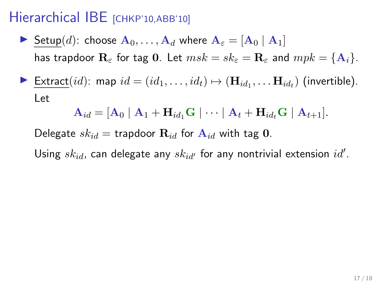- Setup(d): choose  $A_0, \ldots, A_d$  where  $A_\varepsilon = [A_0 | A_1]$ has trapdoor  $\mathbf{R}_{\varepsilon}$  for tag 0. Let  $msk = sk_{\varepsilon} = \mathbf{R}_{\varepsilon}$  and  $mpk = {\mathbf{A}_i}$ .
- ▶ Extract $(id)$ : map  $id = (id_1, \ldots, id_t) \mapsto (\mathbf{H}_{id_1}, \ldots \mathbf{H}_{id_t})$  (invertible). Let

$$
\mathbf{A}_{id} = [\mathbf{A}_0 \mid \mathbf{A}_1 + \mathbf{H}_{id_1} \mathbf{G} \mid \cdots \mid \mathbf{A}_t + \mathbf{H}_{id_t} \mathbf{G} \mid \mathbf{A}_{t+1}].
$$

Delegate  $sk_{id}$  = trapdoor  $\mathbf{R}_{id}$  for  $\mathbf{A}_{id}$  with tag 0.

Using  $\mathit{sk}_{id}$ , can delegate any  $\mathit{sk}_{id'}$  for any nontrivial extension  $\mathit{id}'.$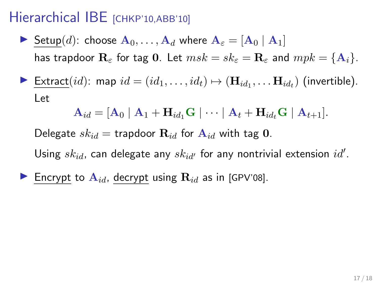- Setup(d): choose  $A_0, \ldots, A_d$  where  $A_\varepsilon = [A_0 | A_1]$ has trapdoor  $\mathbf{R}_{\varepsilon}$  for tag 0. Let  $msk = sk_{\varepsilon} = \mathbf{R}_{\varepsilon}$  and  $mpk = {\mathbf{A}_i}$ .
- ▶ Extract $(id)$ : map  $id = (id_1, \ldots, id_t) \mapsto (\mathbf{H}_{id_1}, \ldots \mathbf{H}_{id_t})$  (invertible). Let

$$
\mathbf{A}_{id} = [\mathbf{A}_0 \mid \mathbf{A}_1 + \mathbf{H}_{id_1} \mathbf{G} \mid \cdots \mid \mathbf{A}_t + \mathbf{H}_{id_t} \mathbf{G} \mid \mathbf{A}_{t+1}].
$$

Delegate  $sk_{id}$  = trapdoor  $\mathbf{R}_{id}$  for  $\mathbf{A}_{id}$  with tag 0.

Using  $\mathit{sk}_{id}$ , can delegate any  $\mathit{sk}_{id'}$  for any nontrivial extension  $\mathit{id}'.$ 

Encrypt to  $\mathbf{A}_{id}$ , decrypt using  $\mathbf{R}_{id}$  as in [GPV'08].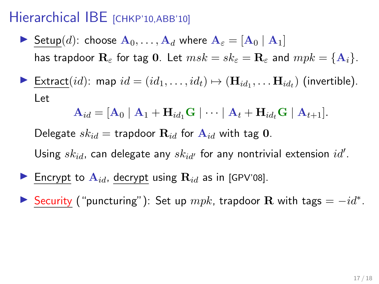- Setup(d): choose  $A_0, \ldots, A_d$  where  $A_{\varepsilon} = [A_0 | A_1]$ has trapdoor  $\mathbf{R}_{\varepsilon}$  for tag 0. Let  $msk = sk_{\varepsilon} = \mathbf{R}_{\varepsilon}$  and  $mpk = {\mathbf{A}_i}$ .
- ▶ Extract $(id)$ : map  $id = (id_1, \ldots, id_t) \mapsto (\mathbf{H}_{id_1}, \ldots \mathbf{H}_{id_t})$  (invertible). Let

$$
\mathbf{A}_{id} = [\mathbf{A}_0 \mid \mathbf{A}_1 + \mathbf{H}_{id_1} \mathbf{G} \mid \cdots \mid \mathbf{A}_t + \mathbf{H}_{id_t} \mathbf{G} \mid \mathbf{A}_{t+1}].
$$

Delegate  $sk_{id}$  = trapdoor  $\mathbf{R}_{id}$  for  $\mathbf{A}_{id}$  with tag 0.

Using  $\mathit{sk}_{id}$ , can delegate any  $\mathit{sk}_{id'}$  for any nontrivial extension  $\mathit{id}'.$ 

- Encrypt to  $A_{id}$ , decrypt using  $R_{id}$  as in [GPV'08].
- Security ("puncturing"): Set up  $mpk$ , trapdoor R with tags =  $-id^*$ .